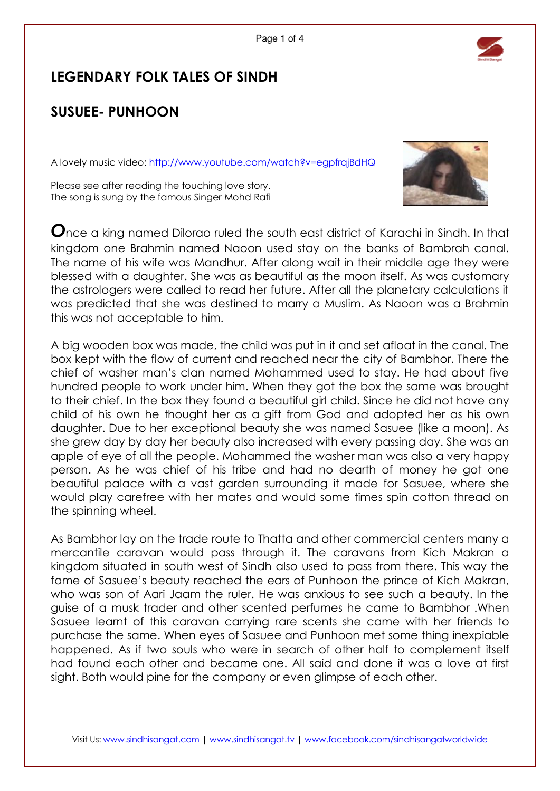

## LEGENDARY FOLK TALES OF SINDH

## SUSUEE- PUNHOON

A lovely music video: http://www.youtube.com/watch?v=egpfrqjBdHQ



Please see after reading the touching love story. The song is sung by the famous Singer Mohd Rafi

Once a king named Dilorao ruled the south east district of Karachi in Sindh. In that kingdom one Brahmin named Naoon used stay on the banks of Bambrah canal. The name of his wife was Mandhur. After along wait in their middle age they were blessed with a daughter. She was as beautiful as the moon itself. As was customary the astrologers were called to read her future. After all the planetary calculations it was predicted that she was destined to marry a Muslim. As Naoon was a Brahmin this was not acceptable to him.

A big wooden box was made, the child was put in it and set afloat in the canal. The box kept with the flow of current and reached near the city of Bambhor. There the chief of washer man's clan named Mohammed used to stay. He had about five hundred people to work under him. When they got the box the same was brought to their chief. In the box they found a beautiful girl child. Since he did not have any child of his own he thought her as a gift from God and adopted her as his own daughter. Due to her exceptional beauty she was named Sasuee (like a moon). As she grew day by day her beauty also increased with every passing day. She was an apple of eye of all the people. Mohammed the washer man was also a very happy person. As he was chief of his tribe and had no dearth of money he got one beautiful palace with a vast garden surrounding it made for Sasuee, where she would play carefree with her mates and would some times spin cotton thread on the spinning wheel.

As Bambhor lay on the trade route to Thatta and other commercial centers many a mercantile caravan would pass through it. The caravans from Kich Makran a kingdom situated in south west of Sindh also used to pass from there. This way the fame of Sasuee's beauty reached the ears of Punhoon the prince of Kich Makran, who was son of Aari Jaam the ruler. He was anxious to see such a beauty. In the guise of a musk trader and other scented perfumes he came to Bambhor .When Sasuee learnt of this caravan carrying rare scents she came with her friends to purchase the same. When eyes of Sasuee and Punhoon met some thing inexpiable happened. As if two souls who were in search of other half to complement itself had found each other and became one. All said and done it was a love at first sight. Both would pine for the company or even glimpse of each other.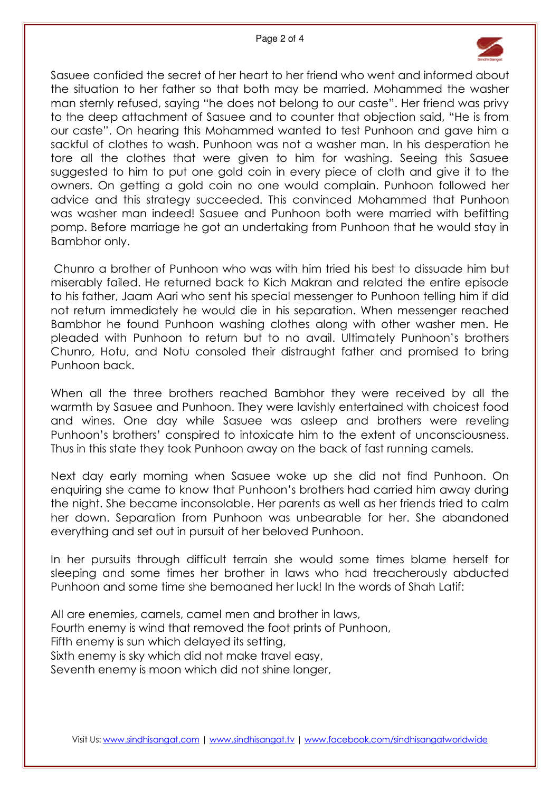

Sasuee confided the secret of her heart to her friend who went and informed about the situation to her father so that both may be married. Mohammed the washer man sternly refused, saying "he does not belong to our caste". Her friend was privy to the deep attachment of Sasuee and to counter that objection said, "He is from our caste". On hearing this Mohammed wanted to test Punhoon and gave him a sackful of clothes to wash. Punhoon was not a washer man. In his desperation he tore all the clothes that were given to him for washing. Seeing this Sasuee suggested to him to put one gold coin in every piece of cloth and give it to the owners. On getting a gold coin no one would complain. Punhoon followed her advice and this strategy succeeded. This convinced Mohammed that Punhoon was washer man indeed! Sasuee and Punhoon both were married with befitting pomp. Before marriage he got an undertaking from Punhoon that he would stay in Bambhor only.

 Chunro a brother of Punhoon who was with him tried his best to dissuade him but miserably failed. He returned back to Kich Makran and related the entire episode to his father, Jaam Aari who sent his special messenger to Punhoon telling him if did not return immediately he would die in his separation. When messenger reached Bambhor he found Punhoon washing clothes along with other washer men. He pleaded with Punhoon to return but to no avail. Ultimately Punhoon's brothers Chunro, Hotu, and Notu consoled their distraught father and promised to bring Punhoon back.

When all the three brothers reached Bambhor they were received by all the warmth by Sasuee and Punhoon. They were lavishly entertained with choicest food and wines. One day while Sasuee was asleep and brothers were reveling Punhoon's brothers' conspired to intoxicate him to the extent of unconsciousness. Thus in this state they took Punhoon away on the back of fast running camels.

Next day early morning when Sasuee woke up she did not find Punhoon. On enquiring she came to know that Punhoon's brothers had carried him away during the night. She became inconsolable. Her parents as well as her friends tried to calm her down. Separation from Punhoon was unbearable for her. She abandoned everything and set out in pursuit of her beloved Punhoon.

In her pursuits through difficult terrain she would some times blame herself for sleeping and some times her brother in laws who had treacherously abducted Punhoon and some time she bemoaned her luck! In the words of Shah Latif:

All are enemies, camels, camel men and brother in laws, Fourth enemy is wind that removed the foot prints of Punhoon, Fifth enemy is sun which delayed its setting, Sixth enemy is sky which did not make travel easy, Seventh enemy is moon which did not shine longer,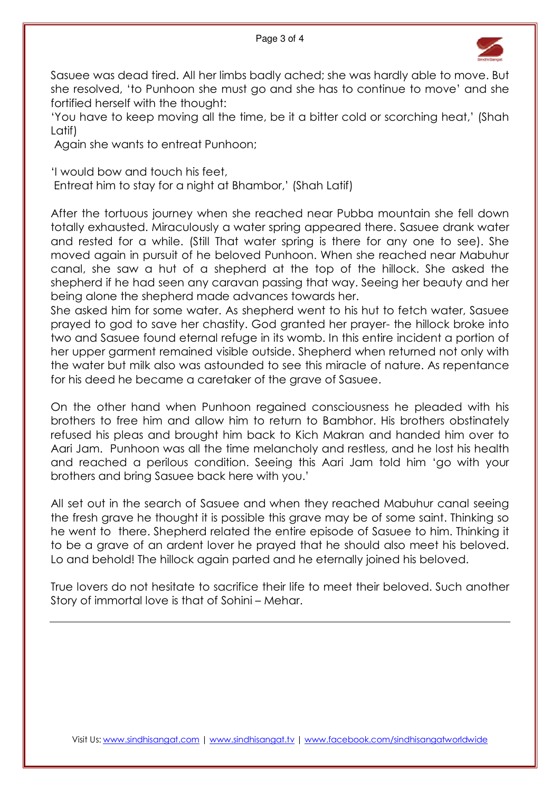

Sasuee was dead tired. All her limbs badly ached; she was hardly able to move. But she resolved, 'to Punhoon she must go and she has to continue to move' and she fortified herself with the thought:

'You have to keep moving all the time, be it a bitter cold or scorching heat,' (Shah Latif)

Again she wants to entreat Punhoon;

'I would bow and touch his feet,

Entreat him to stay for a night at Bhambor,' (Shah Latif)

After the tortuous journey when she reached near Pubba mountain she fell down totally exhausted. Miraculously a water spring appeared there. Sasuee drank water and rested for a while. (Still That water spring is there for any one to see). She moved again in pursuit of he beloved Punhoon. When she reached near Mabuhur canal, she saw a hut of a shepherd at the top of the hillock. She asked the shepherd if he had seen any caravan passing that way. Seeing her beauty and her being alone the shepherd made advances towards her.

She asked him for some water. As shepherd went to his hut to fetch water, Sasuee prayed to god to save her chastity. God granted her prayer- the hillock broke into two and Sasuee found eternal refuge in its womb. In this entire incident a portion of her upper garment remained visible outside. Shepherd when returned not only with the water but milk also was astounded to see this miracle of nature. As repentance for his deed he became a caretaker of the grave of Sasuee.

On the other hand when Punhoon regained consciousness he pleaded with his brothers to free him and allow him to return to Bambhor. His brothers obstinately refused his pleas and brought him back to Kich Makran and handed him over to Aari Jam. Punhoon was all the time melancholy and restless, and he lost his health and reached a perilous condition. Seeing this Aari Jam told him 'go with your brothers and bring Sasuee back here with you.'

All set out in the search of Sasuee and when they reached Mabuhur canal seeing the fresh grave he thought it is possible this grave may be of some saint. Thinking so he went to there. Shepherd related the entire episode of Sasuee to him. Thinking it to be a grave of an ardent lover he prayed that he should also meet his beloved. Lo and behold! The hillock again parted and he eternally joined his beloved.

True lovers do not hesitate to sacrifice their life to meet their beloved. Such another Story of immortal love is that of Sohini – Mehar.